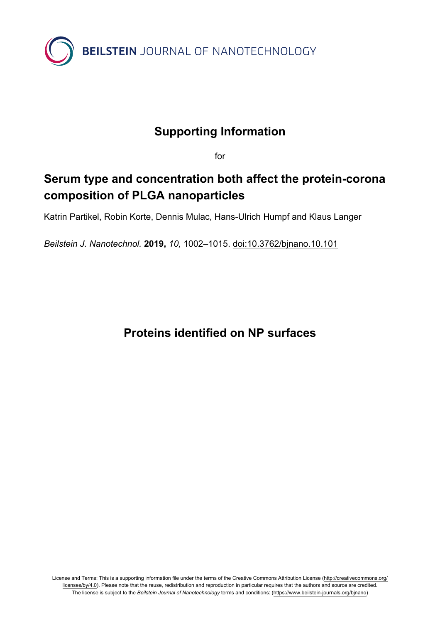

## **Supporting Information**

for

## **Serum type and concentration both affect the protein-corona composition of PLGA nanoparticles**

Katrin Partikel, Robin Korte, Dennis Mulac, Hans-Ulrich Humpf and Klaus Langer

*Beilstein J. Nanotechnol.* **2019,** *10,* 1002–1015. [doi:10.3762/bjnano.10.101](https://doi.org/10.3762%2Fbjnano.10.101)

## **Proteins identified on NP surfaces**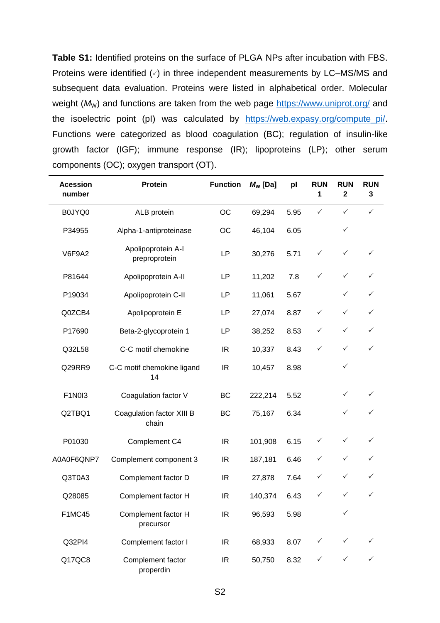**Table S1:** Identified proteins on the surface of PLGA NPs after incubation with FBS. Proteins were identified  $(\check{\phantom{\phi}})$  in three independent measurements by LC–MS/MS and subsequent data evaluation. Proteins were listed in alphabetical order. Molecular weight ( $M_W$ ) and functions are taken from the web page<https://www.uniprot.org/> and the isoelectric point (pI) was calculated by [https://web.expasy.org/compute\\_pi/.](https://web.expasy.org/compute_pi/) Functions were categorized as blood coagulation (BC); regulation of insulin-like growth factor (IGF); immune response (IR); lipoproteins (LP); other serum components (OC); oxygen transport (OT).

| <b>Acession</b><br>number | Protein                             | <b>Function</b> | $M_{\rm W}$ [Da] | pl   | <b>RUN</b><br>1 | <b>RUN</b><br>$\mathbf{2}$ | <b>RUN</b><br>3 |
|---------------------------|-------------------------------------|-----------------|------------------|------|-----------------|----------------------------|-----------------|
| B0JYQ0                    | ALB protein                         | <b>OC</b>       | 69,294           | 5.95 | $\checkmark$    | $\checkmark$               | $\checkmark$    |
| P34955                    | Alpha-1-antiproteinase              | OC              | 46,104           | 6.05 |                 | $\checkmark$               |                 |
| <b>V6F9A2</b>             | Apolipoprotein A-I<br>preproprotein | LP              | 30,276           | 5.71 | $\checkmark$    | $\checkmark$               | ✓               |
| P81644                    | Apolipoprotein A-II                 | LP              | 11,202           | 7.8  | $\checkmark$    | $\checkmark$               | ✓               |
| P19034                    | Apolipoprotein C-II                 | LP              | 11,061           | 5.67 |                 | ✓                          | ✓               |
| Q0ZCB4                    | Apolipoprotein E                    | LP              | 27,074           | 8.87 | $\checkmark$    | $\checkmark$               | $\checkmark$    |
| P17690                    | Beta-2-glycoprotein 1               | LP              | 38,252           | 8.53 | $\checkmark$    | $\checkmark$               | $\checkmark$    |
| Q32L58                    | C-C motif chemokine                 | <b>IR</b>       | 10,337           | 8.43 | $\checkmark$    | $\checkmark$               | $\checkmark$    |
| Q29RR9                    | C-C motif chemokine ligand<br>14    | <b>IR</b>       | 10,457           | 8.98 |                 | ✓                          |                 |
| F1N0I3                    | Coagulation factor V                | BC              | 222,214          | 5.52 |                 | $\checkmark$               | $\checkmark$    |
| Q2TBQ1                    | Coagulation factor XIII B<br>chain  | BC              | 75,167           | 6.34 |                 | ✓                          | ✓               |
| P01030                    | Complement C4                       | IR              | 101,908          | 6.15 | ✓               | ✓                          | ✓               |
| A0A0F6QNP7                | Complement component 3              | IR              | 187,181          | 6.46 | $\checkmark$    | $\checkmark$               | ✓               |
| Q3T0A3                    | Complement factor D                 | IR              | 27,878           | 7.64 | $\checkmark$    | $\checkmark$               | ✓               |
| Q28085                    | Complement factor H                 | <b>IR</b>       | 140,374          | 6.43 | $\checkmark$    | $\checkmark$               | ✓               |
| <b>F1MC45</b>             | Complement factor H<br>precursor    | IR              | 96,593           | 5.98 |                 | $\checkmark$               |                 |
| Q32PI4                    | Complement factor I                 | IR              | 68,933           | 8.07 | $\checkmark$    |                            |                 |
| Q17QC8                    | Complement factor<br>properdin      | IR              | 50,750           | 8.32 | $\checkmark$    | $\checkmark$               | $\checkmark$    |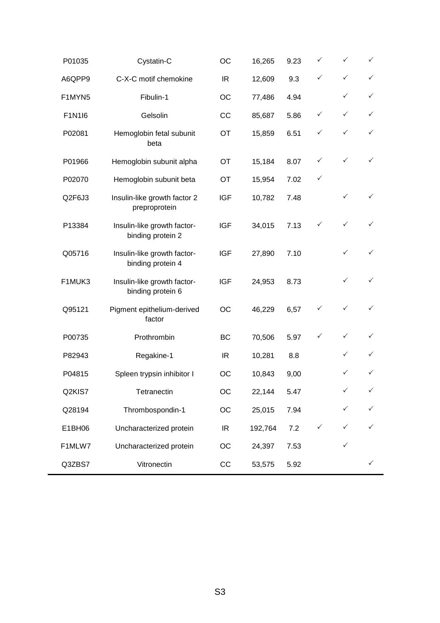| P01035 | Cystatin-C                                       | OC         | 16,265  | 9.23 | ✓            | ✓            | $\checkmark$ |
|--------|--------------------------------------------------|------------|---------|------|--------------|--------------|--------------|
| A6QPP9 | C-X-C motif chemokine                            | IR.        | 12,609  | 9.3  | ✓            | $\checkmark$ | $\checkmark$ |
| F1MYN5 | Fibulin-1                                        | OC         | 77,486  | 4.94 |              | $\checkmark$ | $\checkmark$ |
| F1N1I6 | Gelsolin                                         | cc         | 85,687  | 5.86 | ✓            | $\checkmark$ | $\checkmark$ |
| P02081 | Hemoglobin fetal subunit<br>beta                 | OT         | 15,859  | 6.51 | ✓            | $\checkmark$ | $\checkmark$ |
| P01966 | Hemoglobin subunit alpha                         | OT         | 15,184  | 8.07 | ✓            | $\checkmark$ | $\checkmark$ |
| P02070 | Hemoglobin subunit beta                          | OT         | 15,954  | 7.02 | ✓            |              |              |
| Q2F6J3 | Insulin-like growth factor 2<br>preproprotein    | <b>IGF</b> | 10,782  | 7.48 |              | $\checkmark$ | $\checkmark$ |
| P13384 | Insulin-like growth factor-<br>binding protein 2 | <b>IGF</b> | 34,015  | 7.13 | ✓            | $\checkmark$ |              |
| Q05716 | Insulin-like growth factor-<br>binding protein 4 | <b>IGF</b> | 27,890  | 7.10 |              | ✓            | $\checkmark$ |
| F1MUK3 | Insulin-like growth factor-<br>binding protein 6 | <b>IGF</b> | 24,953  | 8.73 |              | $\checkmark$ | $\checkmark$ |
| Q95121 | Pigment epithelium-derived<br>factor             | OC         | 46,229  | 6,57 |              | $\checkmark$ | ✓            |
| P00735 | Prothrombin                                      | <b>BC</b>  | 70,506  | 5.97 | ✓            | $\checkmark$ | $\checkmark$ |
| P82943 | Regakine-1                                       | IR         | 10,281  | 8.8  |              | ✓            | ✓            |
| P04815 | Spleen trypsin inhibitor I                       | ОC         | 10,843  | 9,00 |              | $\checkmark$ | $\checkmark$ |
| Q2KIS7 | Tetranectin                                      | OC         | 22,144  | 5.47 |              | $\checkmark$ | $\checkmark$ |
| Q28194 | Thrombospondin-1                                 | OC         | 25,015  | 7.94 |              | $\checkmark$ | $\checkmark$ |
| E1BH06 | Uncharacterized protein                          | IR.        | 192,764 | 7.2  | $\checkmark$ | $\checkmark$ | $\checkmark$ |
| F1MLW7 | Uncharacterized protein                          | OC         | 24,397  | 7.53 |              | $\checkmark$ |              |
| Q3ZBS7 | Vitronectin                                      | CC         | 53,575  | 5.92 |              |              | $\checkmark$ |
|        |                                                  |            |         |      |              |              |              |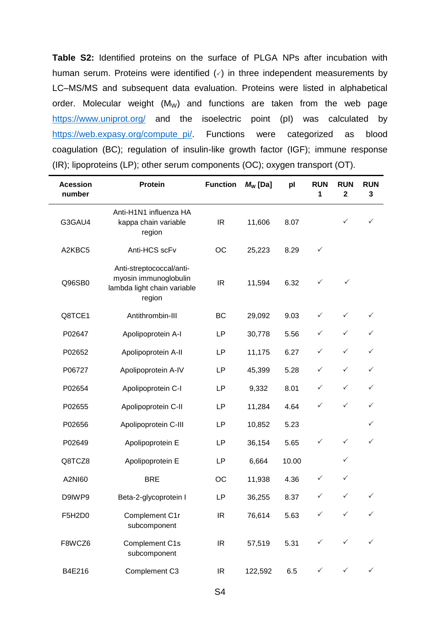**Table S2:** Identified proteins on the surface of PLGA NPs after incubation with human serum. Proteins were identified  $(\vee)$  in three independent measurements by LC–MS/MS and subsequent data evaluation. Proteins were listed in alphabetical order. Molecular weight  $(M_W)$  and functions are taken from the web page <https://www.uniprot.org/> and the isoelectric point (pI) was calculated by [https://web.expasy.org/compute\\_pi/.](https://web.expasy.org/compute_pi/) Functions were categorized as blood coagulation (BC); regulation of insulin-like growth factor (IGF); immune response (IR); lipoproteins (LP); other serum components (OC); oxygen transport (OT).

| <b>Acession</b><br>number | <b>Protein</b>                                                                             | <b>Function</b> | $M_{\rm W}$ [Da] | pl    | <b>RUN</b><br>1 | <b>RUN</b><br>$\mathbf 2$ | <b>RUN</b><br>3 |
|---------------------------|--------------------------------------------------------------------------------------------|-----------------|------------------|-------|-----------------|---------------------------|-----------------|
| G3GAU4                    | Anti-H1N1 influenza HA<br>kappa chain variable<br>region                                   | IR              | 11,606           | 8.07  |                 | ✓                         | ✓               |
| A2KBC5                    | Anti-HCS scFv                                                                              | OC              | 25,223           | 8.29  | $\checkmark$    |                           |                 |
| Q96SB0                    | Anti-streptococcal/anti-<br>myosin immunoglobulin<br>lambda light chain variable<br>region | IR.             | 11,594           | 6.32  | ✓               | ✓                         |                 |
| Q8TCE1                    | Antithrombin-III                                                                           | <b>BC</b>       | 29,092           | 9.03  | $\checkmark$    | ✓                         | $\checkmark$    |
| P02647                    | Apolipoprotein A-I                                                                         | LP              | 30,778           | 5.56  | $\checkmark$    | $\checkmark$              | ✓               |
| P02652                    | Apolipoprotein A-II                                                                        | LP              | 11,175           | 6.27  | $\checkmark$    | $\checkmark$              | $\checkmark$    |
| P06727                    | Apolipoprotein A-IV                                                                        | LP              | 45,399           | 5.28  | $\checkmark$    | ✓                         | ✓               |
| P02654                    | Apolipoprotein C-I                                                                         | LP              | 9,332            | 8.01  | ✓               | ✓                         | ✓               |
| P02655                    | Apolipoprotein C-II                                                                        | LP              | 11,284           | 4.64  | $\checkmark$    | ✓                         | ✓               |
| P02656                    | Apolipoprotein C-III                                                                       | LP              | 10,852           | 5.23  |                 |                           | ✓               |
| P02649                    | Apolipoprotein E                                                                           | LP              | 36,154           | 5.65  | ✓               | ✓                         | ✓               |
| Q8TCZ8                    | Apolipoprotein E                                                                           | LP              | 6,664            | 10.00 |                 | ✓                         |                 |
| A2NI60                    | <b>BRE</b>                                                                                 | OC              | 11,938           | 4.36  | ✓               | ✓                         |                 |
| D9IWP9                    | Beta-2-glycoprotein I                                                                      | LP              | 36,255           | 8.37  | $\checkmark$    | $\checkmark$              | ✓               |
| F5H2D0                    | Complement C1r<br>subcomponent                                                             | IR              | 76,614           | 5.63  | $\checkmark$    | $\checkmark$              | $\checkmark$    |
| F8WCZ6                    | Complement C1s<br>subcomponent                                                             | IR.             | 57,519           | 5.31  | $\checkmark$    | ✓                         |                 |
| B4E216                    | Complement C3                                                                              | IR              | 122,592          | 6.5   | $\checkmark$    | $\checkmark$              | $\checkmark$    |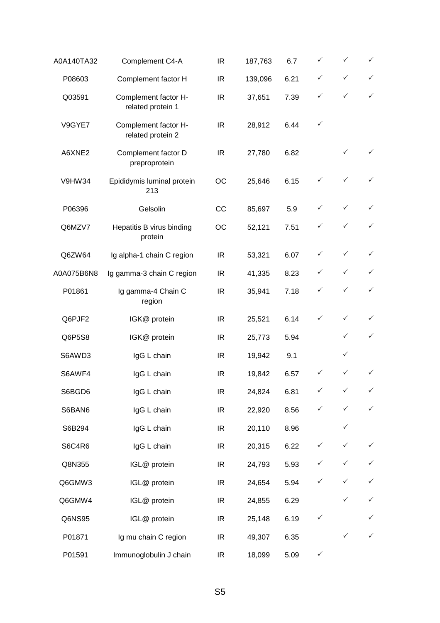| A0A140TA32 | Complement C4-A                           | IR        | 187,763 | 6.7  | ✓            | $\checkmark$ | $\checkmark$ |
|------------|-------------------------------------------|-----------|---------|------|--------------|--------------|--------------|
| P08603     | Complement factor H                       | <b>IR</b> | 139,096 | 6.21 | ✓            | ✓            | $\checkmark$ |
| Q03591     | Complement factor H-<br>related protein 1 | <b>IR</b> | 37,651  | 7.39 | ✓            | ✓            | $\checkmark$ |
| V9GYE7     | Complement factor H-<br>related protein 2 | IR        | 28,912  | 6.44 | ✓            |              |              |
| A6XNE2     | Complement factor D<br>preproprotein      | IR        | 27,780  | 6.82 |              | $\checkmark$ | $\checkmark$ |
| V9HW34     | Epididymis luminal protein<br>213         | OC        | 25,646  | 6.15 | $\checkmark$ | $\checkmark$ | $\checkmark$ |
| P06396     | Gelsolin                                  | cc        | 85,697  | 5.9  | ✓            | $\checkmark$ | $\checkmark$ |
| Q6MZV7     | Hepatitis B virus binding<br>protein      | OC        | 52,121  | 7.51 | ✓            | $\checkmark$ | $\checkmark$ |
| Q6ZW64     | Ig alpha-1 chain C region                 | <b>IR</b> | 53,321  | 6.07 | ✓            | $\checkmark$ | $\checkmark$ |
| A0A075B6N8 | Ig gamma-3 chain C region                 | IR        | 41,335  | 8.23 | ✓            | $\checkmark$ | $\checkmark$ |
| P01861     | Ig gamma-4 Chain C<br>region              | <b>IR</b> | 35,941  | 7.18 | ✓            | $\checkmark$ | $\checkmark$ |
| Q6PJF2     | IGK@ protein                              | IR        | 25,521  | 6.14 | $\checkmark$ | $\checkmark$ | $\checkmark$ |
| Q6P5S8     | IGK@ protein                              | <b>IR</b> | 25,773  | 5.94 |              | ✓            | $\checkmark$ |
| S6AWD3     | IgG L chain                               | <b>IR</b> | 19,942  | 9.1  |              | ✓            |              |
| S6AWF4     | IgG L chain                               | IR        | 19,842  | 6.57 | ✓            | $\checkmark$ | $\checkmark$ |
| S6BGD6     | IgG L chain                               | IR        | 24,824  | 6.81 | $\checkmark$ | $\checkmark$ | $\checkmark$ |
| S6BAN6     | IgG L chain                               | IR        | 22,920  | 8.56 | ✓            | ✓            | $\checkmark$ |
| S6B294     | IgG L chain                               | IR        | 20,110  | 8.96 |              | $\checkmark$ |              |
| S6C4R6     | IgG L chain                               | IR        | 20,315  | 6.22 | $\checkmark$ | $\checkmark$ | $\checkmark$ |
| Q8N355     | IGL@ protein                              | IR        | 24,793  | 5.93 | ✓            | $\checkmark$ | $\checkmark$ |
| Q6GMW3     | IGL@ protein                              | IR        | 24,654  | 5.94 | ✓            | $\checkmark$ | $\checkmark$ |
| Q6GMW4     | IGL@ protein                              | IR        | 24,855  | 6.29 |              | ✓            | $\checkmark$ |
| Q6NS95     | IGL@ protein                              | IR        | 25,148  | 6.19 | $\checkmark$ |              | $\checkmark$ |
| P01871     | Ig mu chain C region                      | IR        | 49,307  | 6.35 |              | $\checkmark$ | $\checkmark$ |
| P01591     | Immunoglobulin J chain                    | IR        | 18,099  | 5.09 | $\checkmark$ |              |              |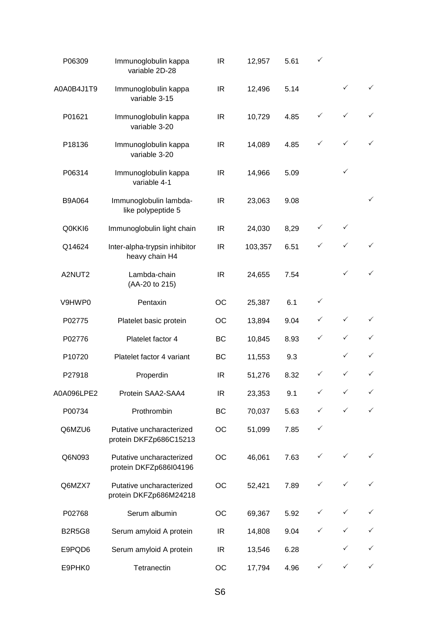| P06309        | Immunoglobulin kappa<br>variable 2D-28             | IR  | 12,957  | 5.61 | ✓            |              |              |
|---------------|----------------------------------------------------|-----|---------|------|--------------|--------------|--------------|
| A0A0B4J1T9    | Immunoglobulin kappa<br>variable 3-15              | IR  | 12,496  | 5.14 |              | ✓            | $\checkmark$ |
| P01621        | Immunoglobulin kappa<br>variable 3-20              | IR. | 10,729  | 4.85 | ✓            | $\checkmark$ | $\checkmark$ |
| P18136        | Immunoglobulin kappa<br>variable 3-20              | IR  | 14,089  | 4.85 | ✓            | $\checkmark$ |              |
| P06314        | Immunoglobulin kappa<br>variable 4-1               | IR  | 14,966  | 5.09 |              | $\checkmark$ |              |
| B9A064        | Immunoglobulin lambda-<br>like polypeptide 5       | IR. | 23,063  | 9.08 |              |              | $\checkmark$ |
| Q0KKI6        | Immunoglobulin light chain                         | IR  | 24,030  | 8,29 | ✓            | $\checkmark$ |              |
| Q14624        | Inter-alpha-trypsin inhibitor<br>heavy chain H4    | IR  | 103,357 | 6.51 | ✓            | $\checkmark$ | $\checkmark$ |
| A2NUT2        | Lambda-chain<br>(AA-20 to 215)                     | IR. | 24,655  | 7.54 |              | ✓            | $\checkmark$ |
| V9HWP0        | Pentaxin                                           | OC  | 25,387  | 6.1  | $\checkmark$ |              |              |
| P02775        | Platelet basic protein                             | OС  | 13,894  | 9.04 | ✓            | $\checkmark$ | $\checkmark$ |
| P02776        | Platelet factor 4                                  | BC  | 10,845  | 8.93 | ✓            | $\checkmark$ | ✓            |
| P10720        | Platelet factor 4 variant                          | BC  | 11,553  | 9.3  |              | ✓            | $\checkmark$ |
| P27918        | Properdin                                          | IR. | 51,276  | 8.32 | ✓            | $\checkmark$ | $\checkmark$ |
| A0A096LPE2    | Protein SAA2-SAA4                                  | IR  | 23,353  | 9.1  | ✓            | ✓            | $\checkmark$ |
| P00734        | Prothrombin                                        | BC  | 70,037  | 5.63 | ✓            | ✓            | $\checkmark$ |
| Q6MZU6        | Putative uncharacterized<br>protein DKFZp686C15213 | OC  | 51,099  | 7.85 | ✓            |              |              |
| Q6N093        | Putative uncharacterized<br>protein DKFZp686l04196 | ОC  | 46,061  | 7.63 | ✓            | $\checkmark$ |              |
| Q6MZX7        | Putative uncharacterized<br>protein DKFZp686M24218 | ОC  | 52,421  | 7.89 | ✓            | ✓            |              |
| P02768        | Serum albumin                                      | OС  | 69,367  | 5.92 | ✓            | $\checkmark$ | $\checkmark$ |
| <b>B2R5G8</b> | Serum amyloid A protein                            | IR  | 14,808  | 9.04 | ✓            | ✓            | $\checkmark$ |
| E9PQD6        | Serum amyloid A protein                            | IR  | 13,546  | 6.28 |              |              | ✓            |
| E9PHK0        | Tetranectin                                        | OС  | 17,794  | 4.96 | ✓            | $\checkmark$ | $\checkmark$ |